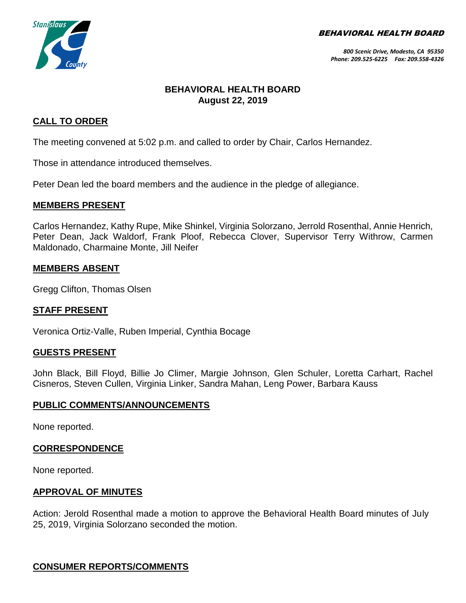BEHAVIORAL HEALTH BOARD



## **BEHAVIORAL HEALTH BOARD August 22, 2019**

### **CALL TO ORDER**

The meeting convened at 5:02 p.m. and called to order by Chair, Carlos Hernandez.

Those in attendance introduced themselves.

Peter Dean led the board members and the audience in the pledge of allegiance.

#### **MEMBERS PRESENT**

Carlos Hernandez, Kathy Rupe, Mike Shinkel, Virginia Solorzano, Jerrold Rosenthal, Annie Henrich, Peter Dean, Jack Waldorf, Frank Ploof, Rebecca Clover, Supervisor Terry Withrow, Carmen Maldonado, Charmaine Monte, Jill Neifer

#### **MEMBERS ABSENT**

Gregg Clifton, Thomas Olsen

### **STAFF PRESENT**

Veronica Ortiz-Valle, Ruben Imperial, Cynthia Bocage

#### **GUESTS PRESENT**

John Black, Bill Floyd, Billie Jo Climer, Margie Johnson, Glen Schuler, Loretta Carhart, Rachel Cisneros, Steven Cullen, Virginia Linker, Sandra Mahan, Leng Power, Barbara Kauss

### **PUBLIC COMMENTS/ANNOUNCEMENTS**

None reported.

### **CORRESPONDENCE**

None reported.

### **APPROVAL OF MINUTES**

Action: Jerold Rosenthal made a motion to approve the Behavioral Health Board minutes of July 25, 2019, Virginia Solorzano seconded the motion.

### **CONSUMER REPORTS/COMMENTS**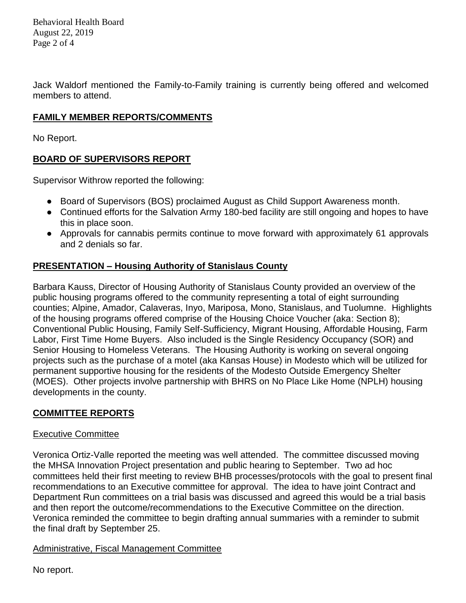Behavioral Health Board August 22, 2019 Page 2 of 4

Jack Waldorf mentioned the Family-to-Family training is currently being offered and welcomed members to attend.

## **FAMILY MEMBER REPORTS/COMMENTS**

No Report.

# **BOARD OF SUPERVISORS REPORT**

Supervisor Withrow reported the following:

- Board of Supervisors (BOS) proclaimed August as Child Support Awareness month.
- Continued efforts for the Salvation Army 180-bed facility are still ongoing and hopes to have this in place soon.
- Approvals for cannabis permits continue to move forward with approximately 61 approvals and 2 denials so far.

# **PRESENTATION – Housing Authority of Stanislaus County**

Barbara Kauss, Director of Housing Authority of Stanislaus County provided an overview of the public housing programs offered to the community representing a total of eight surrounding counties; Alpine, Amador, Calaveras, Inyo, Mariposa, Mono, Stanislaus, and Tuolumne. Highlights of the housing programs offered comprise of the Housing Choice Voucher (aka: Section 8); Conventional Public Housing, Family Self-Sufficiency, Migrant Housing, Affordable Housing, Farm Labor, First Time Home Buyers. Also included is the Single Residency Occupancy (SOR) and Senior Housing to Homeless Veterans. The Housing Authority is working on several ongoing projects such as the purchase of a motel (aka Kansas House) in Modesto which will be utilized for permanent supportive housing for the residents of the Modesto Outside Emergency Shelter (MOES). Other projects involve partnership with BHRS on No Place Like Home (NPLH) housing developments in the county.

## **COMMITTEE REPORTS**

### Executive Committee

Veronica Ortiz-Valle reported the meeting was well attended. The committee discussed moving the MHSA Innovation Project presentation and public hearing to September. Two ad hoc committees held their first meeting to review BHB processes/protocols with the goal to present final recommendations to an Executive committee for approval. The idea to have joint Contract and Department Run committees on a trial basis was discussed and agreed this would be a trial basis and then report the outcome/recommendations to the Executive Committee on the direction. Veronica reminded the committee to begin drafting annual summaries with a reminder to submit the final draft by September 25.

## Administrative, Fiscal Management Committee

No report.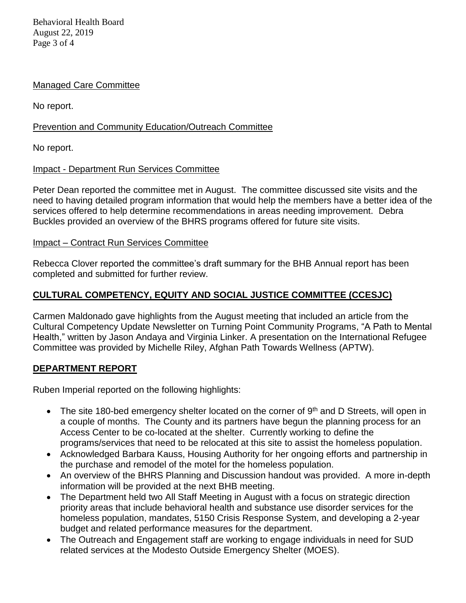Behavioral Health Board August 22, 2019 Page 3 of 4

### Managed Care Committee

No report.

### Prevention and Community Education/Outreach Committee

No report.

### Impact - Department Run Services Committee

Peter Dean reported the committee met in August. The committee discussed site visits and the need to having detailed program information that would help the members have a better idea of the services offered to help determine recommendations in areas needing improvement. Debra Buckles provided an overview of the BHRS programs offered for future site visits.

### Impact – Contract Run Services Committee

Rebecca Clover reported the committee's draft summary for the BHB Annual report has been completed and submitted for further review.

## **CULTURAL COMPETENCY, EQUITY AND SOCIAL JUSTICE COMMITTEE (CCESJC)**

Carmen Maldonado gave highlights from the August meeting that included an article from the Cultural Competency Update Newsletter on Turning Point Community Programs, "A Path to Mental Health," written by Jason Andaya and Virginia Linker. A presentation on the International Refugee Committee was provided by Michelle Riley, Afghan Path Towards Wellness (APTW).

### **DEPARTMENT REPORT**

Ruben Imperial reported on the following highlights:

- The site 180-bed emergency shelter located on the corner of  $9<sup>th</sup>$  and D Streets, will open in a couple of months. The County and its partners have begun the planning process for an Access Center to be co-located at the shelter. Currently working to define the programs/services that need to be relocated at this site to assist the homeless population.
- Acknowledged Barbara Kauss, Housing Authority for her ongoing efforts and partnership in the purchase and remodel of the motel for the homeless population.
- An overview of the BHRS Planning and Discussion handout was provided. A more in-depth information will be provided at the next BHB meeting.
- The Department held two All Staff Meeting in August with a focus on strategic direction priority areas that include behavioral health and substance use disorder services for the homeless population, mandates, 5150 Crisis Response System, and developing a 2-year budget and related performance measures for the department.
- The Outreach and Engagement staff are working to engage individuals in need for SUD related services at the Modesto Outside Emergency Shelter (MOES).